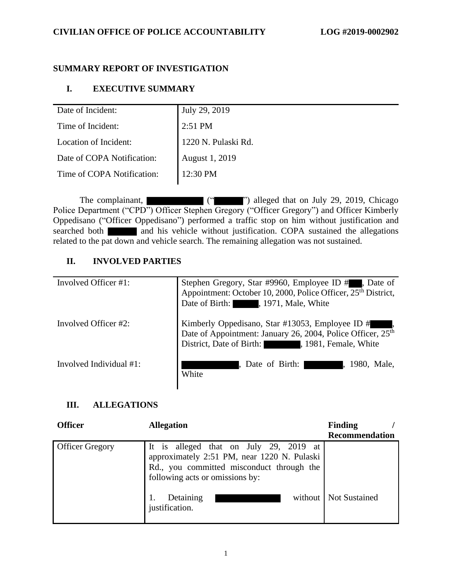# **SUMMARY REPORT OF INVESTIGATION**

# **I. EXECUTIVE SUMMARY**

| Date of Incident:          | July 29, 2019         |
|----------------------------|-----------------------|
| Time of Incident:          | $2:51$ PM             |
| Location of Incident:      | 1220 N. Pulaski Rd.   |
| Date of COPA Notification: | <b>August 1, 2019</b> |
| Time of COPA Notification: | 12:30 PM              |

The complainant,  $($ " ") alleged that on July 29, 2019, Chicago Police Department ("CPD") Officer Stephen Gregory ("Officer Gregory") and Officer Kimberly Oppedisano ("Officer Oppedisano") performed a traffic stop on him without justification and searched both and his vehicle without justification. COPA sustained the allegations related to the pat down and vehicle search. The remaining allegation was not sustained.

# **II. INVOLVED PARTIES**

| Involved Officer #1:    | Stephen Gregory, Star #9960, Employee ID #., Date of Appointment: October 10, 2000, Police Officer, 25 <sup>th</sup> District,<br>Date of Birth: , 1971, Male, White         |
|-------------------------|------------------------------------------------------------------------------------------------------------------------------------------------------------------------------|
| Involved Officer #2:    | Kimberly Oppedisano, Star #13053, Employee ID # ,<br>Date of Appointment: January 26, 2004, Police Officer, 25 <sup>th</sup><br>District, Date of Birth: 1981, Female, White |
| Involved Individual #1: | Date of Birth:<br>1980. Male.<br>White                                                                                                                                       |

# **III. ALLEGATIONS**

| <b>Officer</b>         | <b>Allegation</b>                                                                                                                                                     | Finding<br><b>Recommendation</b> |
|------------------------|-----------------------------------------------------------------------------------------------------------------------------------------------------------------------|----------------------------------|
| <b>Officer Gregory</b> | It is alleged that on July 29, 2019 at<br>approximately 2:51 PM, near 1220 N. Pulaski<br>Rd., you committed misconduct through the<br>following acts or omissions by: |                                  |
|                        | Detaining<br>justification.                                                                                                                                           | without   Not Sustained          |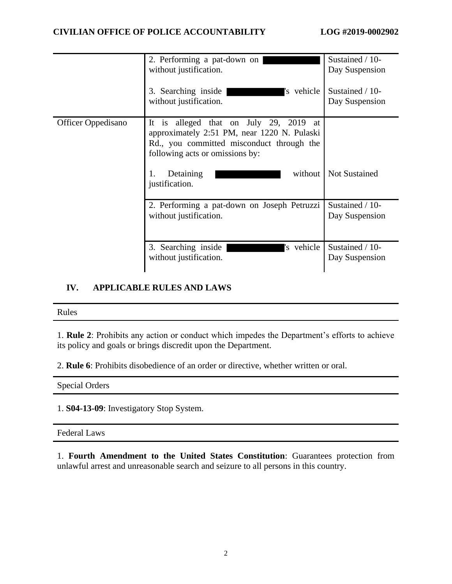|                           | 2. Performing a pat-down on<br>without justification.                                                                                                                                                     | Sustained / 10-<br>Day Suspension |
|---------------------------|-----------------------------------------------------------------------------------------------------------------------------------------------------------------------------------------------------------|-----------------------------------|
|                           | 3. Searching inside<br>'s vehicle<br>without justification.                                                                                                                                               | Sustained / 10-<br>Day Suspension |
| <b>Officer Oppedisano</b> | alleged that on July 29, 2019<br>It is<br>at<br>approximately 2:51 PM, near 1220 N. Pulaski<br>Rd., you committed misconduct through the<br>following acts or omissions by:<br>without<br>Detaining<br>1. | <b>Not Sustained</b>              |
|                           | justification.<br>2. Performing a pat-down on Joseph Petruzzi<br>without justification.                                                                                                                   | Sustained / 10-<br>Day Suspension |
|                           | 's vehicle<br>3. Searching inside<br>without justification.                                                                                                                                               | Sustained / 10-<br>Day Suspension |

# **IV. APPLICABLE RULES AND LAWS**

#### Rules

1. **Rule 2**: Prohibits any action or conduct which impedes the Department's efforts to achieve its policy and goals or brings discredit upon the Department.

2. **Rule 6**: Prohibits disobedience of an order or directive, whether written or oral.

Special Orders

1. **S04-13-09**: Investigatory Stop System.

Federal Laws

1. **Fourth Amendment to the United States Constitution**: Guarantees protection from unlawful arrest and unreasonable search and seizure to all persons in this country.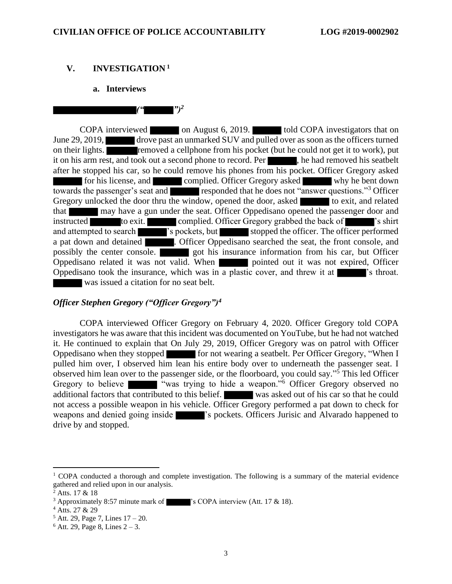$($ " $)$ <sup>2</sup>

## **V. INVESTIGATION <sup>1</sup>**

#### **a. Interviews**

COPA interviewed on August 6, 2019. told COPA investigators that on June 29, 2019, drove past an unmarked SUV and pulled over as soon as the officers turned on their lights. **removed a cellphone from his pocket (but he could not get it to work)**, put it on his arm rest, and took out a second phone to record. Per , he had removed his seatbelt after he stopped his car, so he could remove his phones from his pocket. Officer Gregory asked for his license, and complied. Officer Gregory asked why he bent down towards the passenger's seat and responded that he does not "answer questions."<sup>3</sup> Officer Gregory unlocked the door thru the window, opened the door, asked to exit, and related that may have a gun under the seat. Officer Oppedisano opened the passenger door and instructed to exit. complied. Officer Gregory grabbed the back of 's shirt and attempted to search 's pockets, but stopped the officer. The officer performed a pat down and detained **.** Officer Oppedisano searched the seat, the front console, and possibly the center console. got his insurance information from his car, but Officer Oppedisano related it was not valid. When pointed out it was not expired, Officer Oppedisano took the insurance, which was in a plastic cover, and threw it at **interest**'s throat. was issued a citation for no seat belt.

#### *Officer Stephen Gregory ("Officer Gregory")<sup>4</sup>*

COPA interviewed Officer Gregory on February 4, 2020. Officer Gregory told COPA investigators he was aware that this incident was documented on YouTube, but he had not watched it. He continued to explain that On July 29, 2019, Officer Gregory was on patrol with Officer Oppedisano when they stopped for not wearing a seatbelt. Per Officer Gregory, "When I pulled him over, I observed him lean his entire body over to underneath the passenger seat. I observed him lean over to the passenger side, or the floorboard, you could say." <sup>5</sup> This led Officer Gregory to believe was trying to hide a weapon."<sup>6</sup> Officer Gregory observed no additional factors that contributed to this belief. was asked out of his car so that he could not access a possible weapon in his vehicle. Officer Gregory performed a pat down to check for weapons and denied going inside  $\blacksquare$  's pockets. Officers Jurisic and Alvarado happened to drive by and stopped.

 $1$  COPA conducted a thorough and complete investigation. The following is a summary of the material evidence gathered and relied upon in our analysis.

 $^{2}$  Atts. 17 & 18

<sup>&</sup>lt;sup>3</sup> Approximately 8:57 minute mark of  $\blacksquare$  's COPA interview (Att. 17 & 18).

<sup>4</sup> Atts. 27 & 29

 $5$  Att. 29, Page 7, Lines  $17 - 20$ .

 $6$  Att. 29, Page 8, Lines  $2 - 3$ .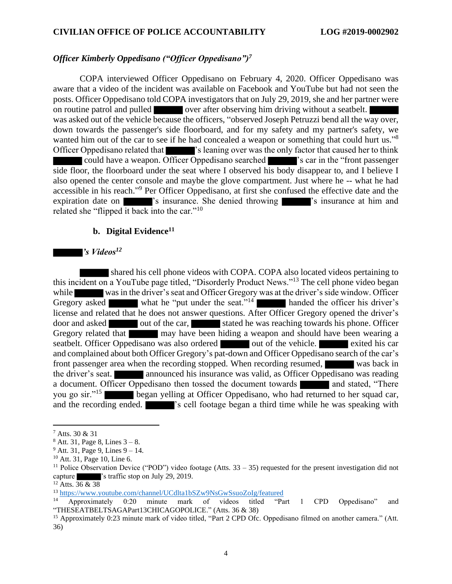#### *Officer Kimberly Oppedisano ("Officer Oppedisano")<sup>7</sup>*

COPA interviewed Officer Oppedisano on February 4, 2020. Officer Oppedisano was aware that a video of the incident was available on Facebook and YouTube but had not seen the posts. Officer Oppedisano told COPA investigators that on July 29, 2019, she and her partner were on routine patrol and pulled over after observing him driving without a seatbelt. was asked out of the vehicle because the officers, "observed Joseph Petruzzi bend all the way over, down towards the passenger's side floorboard, and for my safety and my partner's safety, we wanted him out of the car to see if he had concealed a weapon or something that could hurt us."<sup>8</sup> Officer Oppedisano related that 's leaning over was the only factor that caused her to think could have a weapon. Officer Oppedisano searched **'s**'s car in the "front passenger" side floor, the floorboard under the seat where I observed his body disappear to, and I believe I also opened the center console and maybe the glove compartment. Just where he -- what he had accessible in his reach."<sup>9</sup> Per Officer Oppedisano, at first she confused the effective date and the expiration date on  $\blacksquare$  's insurance. She denied throwing  $\blacksquare$  's insurance at him and related she "flipped it back into the car."<sup>10</sup>

#### **b. Digital Evidence<sup>11</sup>**

#### *'s Videos<sup>12</sup>*

 shared his cell phone videos with COPA. COPA also located videos pertaining to this incident on a YouTube page titled, "Disorderly Product News."<sup>13</sup> The cell phone video began while was in the driver's seat and Officer Gregory was at the driver's side window. Officer Gregory asked what he "put under the seat."<sup>14</sup> handed the officer his driver's license and related that he does not answer questions. After Officer Gregory opened the driver's door and asked out of the car, stated he was reaching towards his phone. Officer Gregory related that may have been hiding a weapon and should have been wearing a seatbelt. Officer Oppedisano was also ordered out of the vehicle. exited his car and complained about both Officer Gregory's pat-down and Officer Oppedisano search of the car's front passenger area when the recording stopped. When recording resumed, was back in the driver's seat. **announced his insurance was valid, as Officer Oppedisano was reading** a document. Officer Oppedisano then tossed the document towards and stated, "There you go sir."<sup>15</sup> began yelling at Officer Oppedisano, who had returned to her squad car, and the recording ended.  $\blacksquare$  's cell footage began a third time while he was speaking with

<sup>7</sup> Atts. 30 & 31

 $8$  Att. 31, Page 8, Lines  $3 - 8$ .

 $9$  Att. 31, Page 9, Lines  $9 - 14$ .

<sup>10</sup> Att. 31, Page 10, Line 6.

<sup>&</sup>lt;sup>11</sup> Police Observation Device ("POD") video footage (Atts.  $33 - 35$ ) requested for the present investigation did not capture 's traffic stop on July 29, 2019.

<sup>&</sup>lt;sup>12</sup> Atts. 36 & 38

<sup>13</sup> <https://www.youtube.com/channel/UCdlta1bSZw9NsGwSsuoZoIg/featured>

<sup>14</sup> Approximately 0:20 minute mark of videos titled "Part 1 CPD Oppedisano" and "THESEATBELTSAGAPart13CHICAGOPOLICE." (Atts. 36 & 38)

<sup>&</sup>lt;sup>15</sup> Approximately 0:23 minute mark of video titled, "Part 2 CPD Ofc. Oppedisano filmed on another camera." (Att. 36)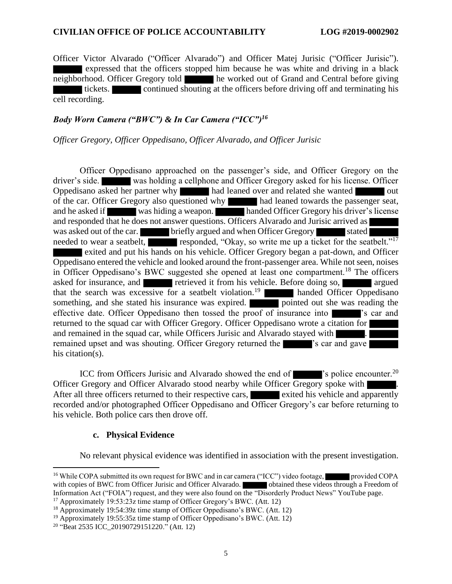Officer Victor Alvarado ("Officer Alvarado") and Officer Matej Jurisic ("Officer Jurisic"). expressed that the officers stopped him because he was white and driving in a black neighborhood. Officer Gregory told he worked out of Grand and Central before giving tickets. continued shouting at the officers before driving off and terminating his cell recording.

## *Body Worn Camera ("BWC") & In Car Camera ("ICC")<sup>16</sup>*

#### *Officer Gregory, Officer Oppedisano, Officer Alvarado, and Officer Jurisic*

Officer Oppedisano approached on the passenger's side, and Officer Gregory on the driver's side. was holding a cellphone and Officer Gregory asked for his license. Officer Oppedisano asked her partner why had leaned over and related she wanted out of the car. Officer Gregory also questioned why had leaned towards the passenger seat, and he asked if was hiding a weapon. handed Officer Gregory his driver's license and responded that he does not answer questions. Officers Alvarado and Jurisic arrived as was asked out of the car. briefly argued and when Officer Gregory stated needed to wear a seatbelt, responded, "Okay, so write me up a ticket for the seatbelt."<sup>17</sup> exited and put his hands on his vehicle. Officer Gregory began a pat-down, and Officer Oppedisano entered the vehicle and looked around the front-passenger area. While not seen, noises in Officer Oppedisano's BWC suggested she opened at least one compartment.<sup>18</sup> The officers asked for insurance, and retrieved it from his vehicle. Before doing so, argued that the search was excessive for a seatbelt violation.<sup>19</sup> **handed** Officer Oppedisano something, and she stated his insurance was expired. pointed out she was reading the effective date. Officer Oppedisano then tossed the proof of insurance into 's car and returned to the squad car with Officer Gregory. Officer Oppedisano wrote a citation for and remained in the squad car, while Officers Jurisic and Alvarado stayed with  $\blacksquare$ . remained upset and was shouting. Officer Gregory returned the  $\blacksquare$  's car and gave his citation(s).

ICC from Officers Jurisic and Alvarado showed the end of  $\blacksquare$  's police encounter.<sup>20</sup> Officer Gregory and Officer Alvarado stood nearby while Officer Gregory spoke with . After all three officers returned to their respective cars, exited his vehicle and apparently recorded and/or photographed Officer Oppedisano and Officer Gregory's car before returning to his vehicle. Both police cars then drove off.

#### **c. Physical Evidence**

No relevant physical evidence was identified in association with the present investigation.

<sup>&</sup>lt;sup>16</sup> While COPA submitted its own request for BWC and in car camera ("ICC") video footage, provided COPA with copies of BWC from Officer Jurisic and Officer Alvarado. **Obtained these videos through a Freedom of** Information Act ("FOIA") request, and they were also found on the "Disorderly Product News" YouTube page.

<sup>&</sup>lt;sup>17</sup> Approximately 19:53:23z time stamp of Officer Gregory's BWC. (Att. 12)

<sup>18</sup> Approximately 19:54:39z time stamp of Officer Oppedisano's BWC. (Att. 12)

<sup>&</sup>lt;sup>19</sup> Approximately 19:55:35z time stamp of Officer Oppedisano's BWC. (Att. 12)

<sup>20</sup> "Beat 2535 ICC\_20190729151220." (Att. 12)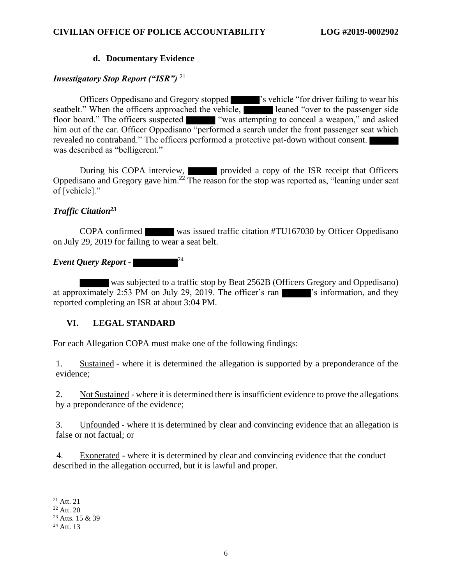## **d. Documentary Evidence**

## *Investigatory Stop Report ("ISR")* <sup>21</sup>

Officers Oppedisano and Gregory stopped 's vehicle "for driver failing to wear his seatbelt." When the officers approached the vehicle, leaned "over to the passenger side floor board." The officers suspected "was attempting to conceal a weapon," and asked him out of the car. Officer Oppedisano "performed a search under the front passenger seat which revealed no contraband." The officers performed a protective pat-down without consent. was described as "belligerent."

During his COPA interview, **provided a copy of the ISR receipt that Officers** Oppedisano and Gregory gave him.<sup>22</sup> The reason for the stop was reported as, "leaning under seat of [vehicle]."

#### *Traffic Citation<sup>23</sup>*

COPA confirmed was issued traffic citation #TU167030 by Officer Oppedisano on July 29, 2019 for failing to wear a seat belt.

#### *Event Query Report -* 24

 was subjected to a traffic stop by Beat 2562B (Officers Gregory and Oppedisano) at approximately 2:53 PM on July 29, 2019. The officer's ran  $\blacksquare$  is information, and they reported completing an ISR at about 3:04 PM.

# **VI. LEGAL STANDARD**

For each Allegation COPA must make one of the following findings:

1. Sustained - where it is determined the allegation is supported by a preponderance of the evidence;

2. Not Sustained - where it is determined there is insufficient evidence to prove the allegations by a preponderance of the evidence;

3. Unfounded - where it is determined by clear and convincing evidence that an allegation is false or not factual; or

4. Exonerated - where it is determined by clear and convincing evidence that the conduct described in the allegation occurred, but it is lawful and proper.

 $^{21}$  Att. 21

<sup>22</sup> Att. 20

<sup>&</sup>lt;sup>23</sup> Atts. 15 & 39

 $24$  Att. 13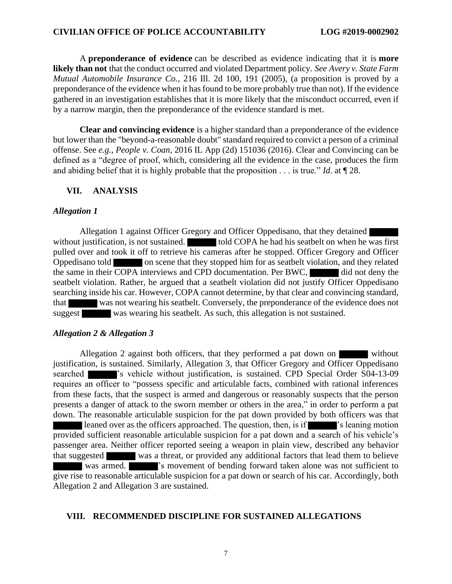A **preponderance of evidence** can be described as evidence indicating that it is **more likely than not** that the conduct occurred and violated Department policy. *See Avery v. State Farm Mutual Automobile Insurance Co.*, 216 Ill. 2d 100, 191 (2005), (a proposition is proved by a preponderance of the evidence when it has found to be more probably true than not). If the evidence gathered in an investigation establishes that it is more likely that the misconduct occurred, even if by a narrow margin, then the preponderance of the evidence standard is met.

**Clear and convincing evidence** is a higher standard than a preponderance of the evidence but lower than the "beyond-a-reasonable doubt" standard required to convict a person of a criminal offense. See *e.g.*, *People v. Coan*, 2016 IL App (2d) 151036 (2016). Clear and Convincing can be defined as a "degree of proof, which, considering all the evidence in the case, produces the firm and abiding belief that it is highly probable that the proposition . . . is true." *Id*. at ¶ 28.

#### **VII. ANALYSIS**

#### *Allegation 1*

Allegation 1 against Officer Gregory and Officer Oppedisano, that they detained without justification, is not sustained. told COPA he had his seatbelt on when he was first pulled over and took it off to retrieve his cameras after he stopped. Officer Gregory and Officer Oppedisano told on scene that they stopped him for as seatbelt violation, and they related the same in their COPA interviews and CPD documentation. Per BWC, in did not deny the seatbelt violation. Rather, he argued that a seatbelt violation did not justify Officer Oppedisano searching inside his car. However, COPA cannot determine, by that clear and convincing standard, that was not wearing his seatbelt. Conversely, the preponderance of the evidence does not suggest was wearing his seatbelt. As such, this allegation is not sustained.

#### *Allegation 2 & Allegation 3*

Allegation 2 against both officers, that they performed a pat down on without justification, is sustained. Similarly, Allegation 3, that Officer Gregory and Officer Oppedisano searched <sup>'</sup>s vehicle without justification, is sustained. CPD Special Order S04-13-09 requires an officer to "possess specific and articulable facts, combined with rational inferences from these facts, that the suspect is armed and dangerous or reasonably suspects that the person presents a danger of attack to the sworn member or others in the area," in order to perform a pat down. The reasonable articulable suspicion for the pat down provided by both officers was that leaned over as the officers approached. The question, then, is if  $\blacksquare$  's leaning motion provided sufficient reasonable articulable suspicion for a pat down and a search of his vehicle's passenger area. Neither officer reported seeing a weapon in plain view, described any behavior that suggested was a threat, or provided any additional factors that lead them to believe was armed.  $\blacksquare$  is movement of bending forward taken alone was not sufficient to give rise to reasonable articulable suspicion for a pat down or search of his car. Accordingly, both Allegation 2 and Allegation 3 are sustained.

#### **VIII. RECOMMENDED DISCIPLINE FOR SUSTAINED ALLEGATIONS**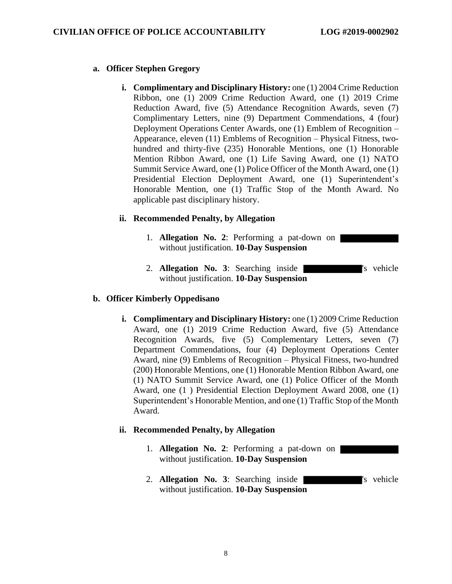## **a. Officer Stephen Gregory**

**i. Complimentary and Disciplinary History:** one (1) 2004 Crime Reduction Ribbon, one (1) 2009 Crime Reduction Award, one (1) 2019 Crime Reduction Award, five (5) Attendance Recognition Awards, seven (7) Complimentary Letters, nine (9) Department Commendations, 4 (four) Deployment Operations Center Awards, one (1) Emblem of Recognition – Appearance, eleven (11) Emblems of Recognition – Physical Fitness, twohundred and thirty-five (235) Honorable Mentions, one (1) Honorable Mention Ribbon Award, one (1) Life Saving Award, one (1) NATO Summit Service Award, one (1) Police Officer of the Month Award, one (1) Presidential Election Deployment Award, one (1) Superintendent's Honorable Mention, one (1) Traffic Stop of the Month Award. No applicable past disciplinary history.

## **ii. Recommended Penalty, by Allegation**

- 1. **Allegation No. 2**: Performing a pat-down on without justification. **10-Day Suspension**
- 2. **Allegation No. 3**: Searching inside without justification. **10-Day Suspension**

#### **b. Officer Kimberly Oppedisano**

**i. Complimentary and Disciplinary History:** one (1) 2009 Crime Reduction Award, one (1) 2019 Crime Reduction Award, five (5) Attendance Recognition Awards, five (5) Complementary Letters, seven (7) Department Commendations, four (4) Deployment Operations Center Award, nine (9) Emblems of Recognition – Physical Fitness, two-hundred (200) Honorable Mentions, one (1) Honorable Mention Ribbon Award, one (1) NATO Summit Service Award, one (1) Police Officer of the Month Award, one (1 ) Presidential Election Deployment Award 2008, one (1) Superintendent's Honorable Mention, and one (1) Traffic Stop of the Month Award.

#### **ii. Recommended Penalty, by Allegation**

- 1. **Allegation No. 2**: Performing a pat-down on without justification. **10-Day Suspension**
- 2. **Allegation No. 3**: Searching inside <sup>'s</sup> vehicle without justification. **10-Day Suspension**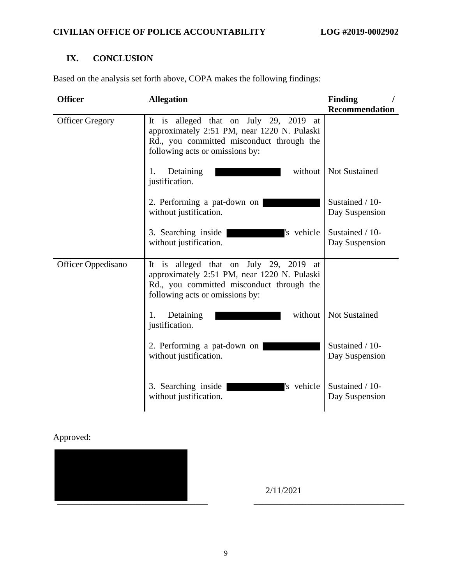# **IX. CONCLUSION**

Based on the analysis set forth above, COPA makes the following findings:

| <b>Officer</b>         | <b>Allegation</b>                                                                                                                                                        | <b>Finding</b>                    |
|------------------------|--------------------------------------------------------------------------------------------------------------------------------------------------------------------------|-----------------------------------|
|                        |                                                                                                                                                                          | <b>Recommendation</b>             |
| <b>Officer Gregory</b> | It is alleged that on July 29, 2019<br>at<br>approximately 2:51 PM, near 1220 N. Pulaski<br>Rd., you committed misconduct through the<br>following acts or omissions by: |                                   |
|                        | Detaining<br>without<br>1.<br>justification.                                                                                                                             | <b>Not Sustained</b>              |
|                        | 2. Performing a pat-down on<br>without justification.                                                                                                                    | Sustained / 10-<br>Day Suspension |
|                        | 's vehicle<br>3. Searching inside<br>without justification.                                                                                                              | Sustained / 10-<br>Day Suspension |
| Officer Oppedisano     | It is alleged that on July 29, 2019<br>at<br>approximately 2:51 PM, near 1220 N. Pulaski<br>Rd., you committed misconduct through the<br>following acts or omissions by: |                                   |
|                        | without<br>Detaining<br>1.<br>justification.                                                                                                                             | <b>Not Sustained</b>              |
|                        | 2. Performing a pat-down on<br>without justification.                                                                                                                    | Sustained / 10-<br>Day Suspension |
|                        | 's vehicle<br>3. Searching inside<br>without justification.                                                                                                              | Sustained / 10-<br>Day Suspension |

# Approved:



2/11/2021